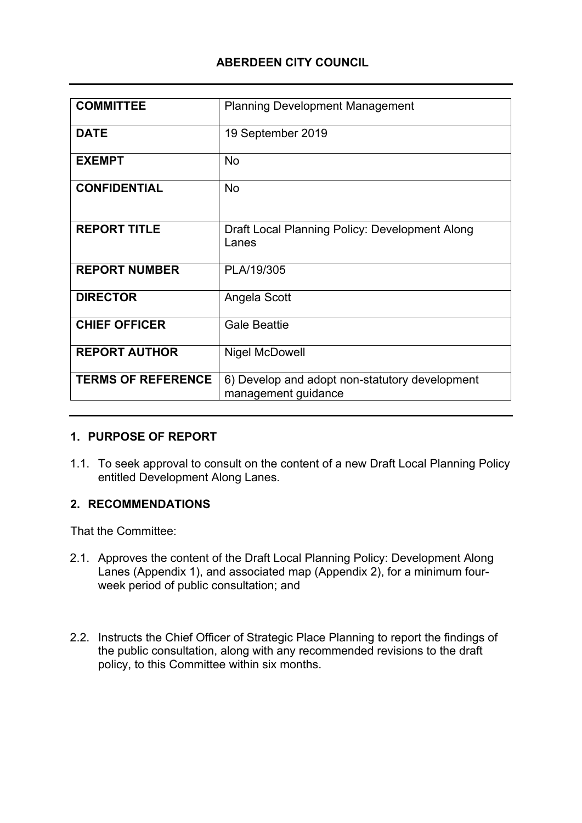# **ABERDEEN CITY COUNCIL**

| <b>COMMITTEE</b>          | <b>Planning Development Management</b>                                |
|---------------------------|-----------------------------------------------------------------------|
| <b>DATE</b>               | 19 September 2019                                                     |
| <b>EXEMPT</b>             | <b>No</b>                                                             |
| <b>CONFIDENTIAL</b>       | <b>No</b>                                                             |
| <b>REPORT TITLE</b>       | Draft Local Planning Policy: Development Along<br>Lanes               |
| <b>REPORT NUMBER</b>      | PLA/19/305                                                            |
| <b>DIRECTOR</b>           | Angela Scott                                                          |
| <b>CHIEF OFFICER</b>      | <b>Gale Beattie</b>                                                   |
| <b>REPORT AUTHOR</b>      | <b>Nigel McDowell</b>                                                 |
| <b>TERMS OF REFERENCE</b> | 6) Develop and adopt non-statutory development<br>management guidance |

### **1. PURPOSE OF REPORT**

1.1. To seek approval to consult on the content of a new Draft Local Planning Policy entitled Development Along Lanes.

### **2. RECOMMENDATIONS**

That the Committee:

- 2.1. Approves the content of the Draft Local Planning Policy: Development Along Lanes (Appendix 1), and associated map (Appendix 2), for a minimum fourweek period of public consultation; and
- 2.2. Instructs the Chief Officer of Strategic Place Planning to report the findings of the public consultation, along with any recommended revisions to the draft policy, to this Committee within six months.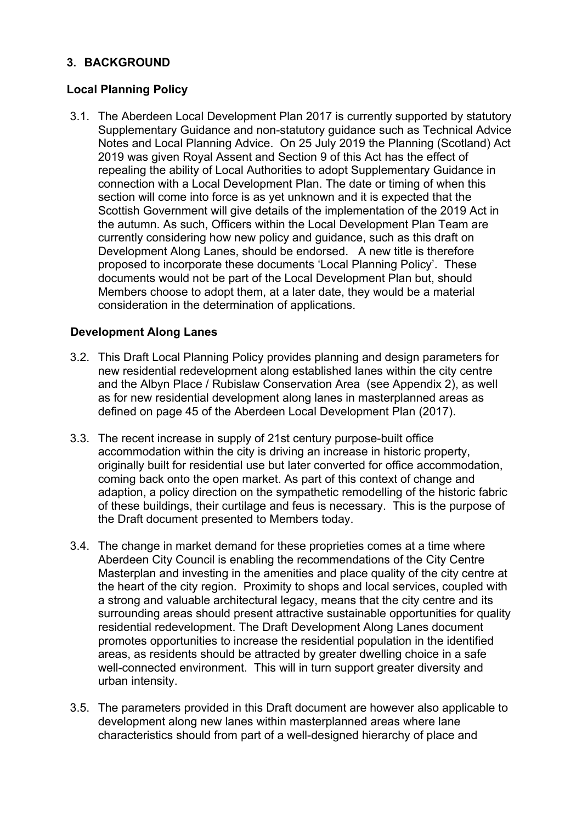## **3. BACKGROUND**

# **Local Planning Policy**

3.1. The Aberdeen Local Development Plan 2017 is currently supported by statutory Supplementary Guidance and non-statutory guidance such as Technical Advice Notes and Local Planning Advice. On 25 July 2019 the Planning (Scotland) Act 2019 was given Royal Assent and Section 9 of this Act has the effect of repealing the ability of Local Authorities to adopt Supplementary Guidance in connection with a Local Development Plan. The date or timing of when this section will come into force is as yet unknown and it is expected that the Scottish Government will give details of the implementation of the 2019 Act in the autumn. As such, Officers within the Local Development Plan Team are currently considering how new policy and guidance, such as this draft on Development Along Lanes, should be endorsed. A new title is therefore proposed to incorporate these documents 'Local Planning Policy'. These documents would not be part of the Local Development Plan but, should Members choose to adopt them, at a later date, they would be a material consideration in the determination of applications.

### **Development Along Lanes**

- 3.2. This Draft Local Planning Policy provides planning and design parameters for new residential redevelopment along established lanes within the city centre and the Albyn Place / Rubislaw Conservation Area (see Appendix 2), as well as for new residential development along lanes in masterplanned areas as defined on page 45 of the Aberdeen Local Development Plan (2017).
- 3.3. The recent increase in supply of 21st century purpose-built office accommodation within the city is driving an increase in historic property, originally built for residential use but later converted for office accommodation, coming back onto the open market. As part of this context of change and adaption, a policy direction on the sympathetic remodelling of the historic fabric of these buildings, their curtilage and feus is necessary. This is the purpose of the Draft document presented to Members today.
- 3.4. The change in market demand for these proprieties comes at a time where Aberdeen City Council is enabling the recommendations of the City Centre Masterplan and investing in the amenities and place quality of the city centre at the heart of the city region. Proximity to shops and local services, coupled with a strong and valuable architectural legacy, means that the city centre and its surrounding areas should present attractive sustainable opportunities for quality residential redevelopment. The Draft Development Along Lanes document promotes opportunities to increase the residential population in the identified areas, as residents should be attracted by greater dwelling choice in a safe well-connected environment. This will in turn support greater diversity and urban intensity.
- 3.5. The parameters provided in this Draft document are however also applicable to development along new lanes within masterplanned areas where lane characteristics should from part of a well-designed hierarchy of place and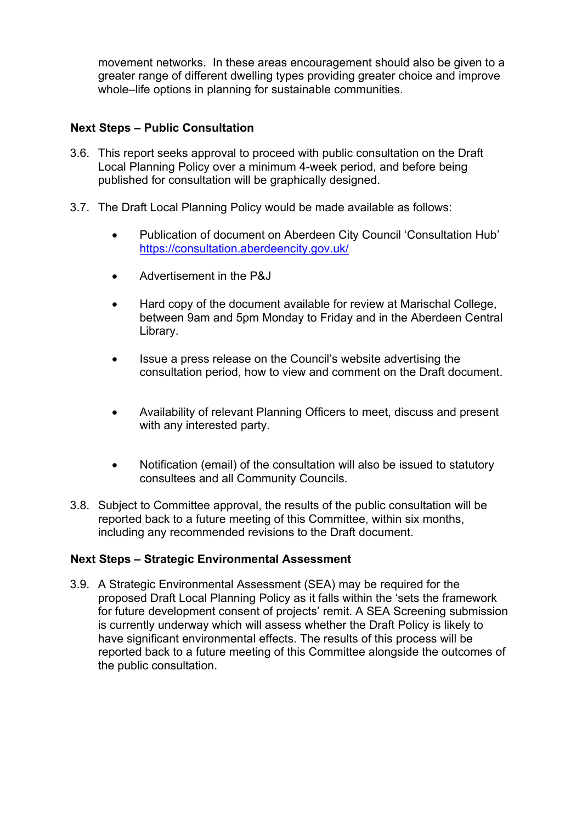movement networks. In these areas encouragement should also be given to a greater range of different dwelling types providing greater choice and improve whole–life options in planning for sustainable communities.

#### **Next Steps – Public Consultation**

- 3.6. This report seeks approval to proceed with public consultation on the Draft Local Planning Policy over a minimum 4-week period, and before being published for consultation will be graphically designed.
- 3.7. The Draft Local Planning Policy would be made available as follows:
	- Publication of document on Aberdeen City Council 'Consultation Hub' <https://consultation.aberdeencity.gov.uk/>
	- Advertisement in the P&J
	- Hard copy of the document available for review at Marischal College, between 9am and 5pm Monday to Friday and in the Aberdeen Central Library.
	- Issue a press release on the Council's website advertising the consultation period, how to view and comment on the Draft document.
	- Availability of relevant Planning Officers to meet, discuss and present with any interested party.
	- Notification (email) of the consultation will also be issued to statutory consultees and all Community Councils.
- 3.8. Subject to Committee approval, the results of the public consultation will be reported back to a future meeting of this Committee, within six months, including any recommended revisions to the Draft document.

#### **Next Steps – Strategic Environmental Assessment**

3.9. A Strategic Environmental Assessment (SEA) may be required for the proposed Draft Local Planning Policy as it falls within the 'sets the framework for future development consent of projects' remit. A SEA Screening submission is currently underway which will assess whether the Draft Policy is likely to have significant environmental effects. The results of this process will be reported back to a future meeting of this Committee alongside the outcomes of the public consultation.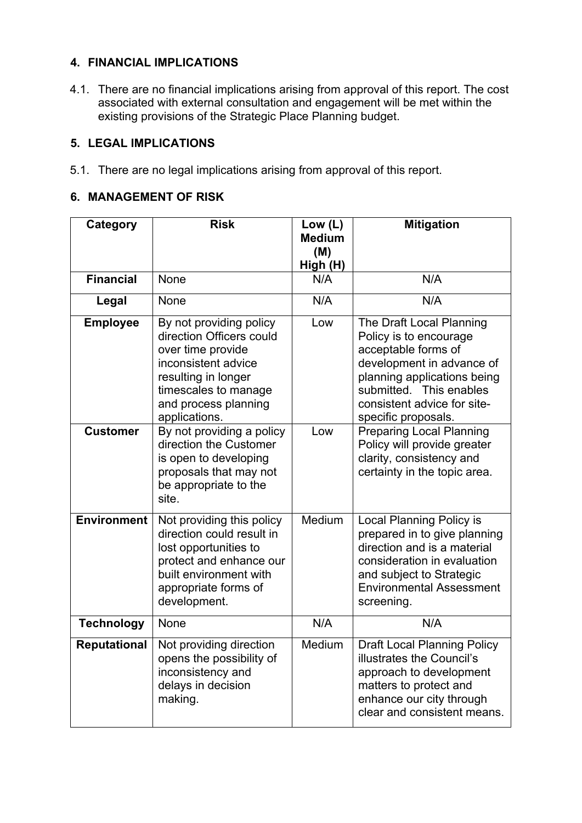### **4. FINANCIAL IMPLICATIONS**

4.1. There are no financial implications arising from approval of this report. The cost associated with external consultation and engagement will be met within the existing provisions of the Strategic Place Planning budget.

### **5. LEGAL IMPLICATIONS**

5.1. There are no legal implications arising from approval of this report.

#### **6. MANAGEMENT OF RISK**

| Category            | <b>Risk</b>                                                                                                                                                                             | Low $(L)$<br><b>Medium</b> | <b>Mitigation</b>                                                                                                                                                                                                      |
|---------------------|-----------------------------------------------------------------------------------------------------------------------------------------------------------------------------------------|----------------------------|------------------------------------------------------------------------------------------------------------------------------------------------------------------------------------------------------------------------|
|                     |                                                                                                                                                                                         | (M)<br>High (H)            |                                                                                                                                                                                                                        |
| <b>Financial</b>    | None                                                                                                                                                                                    | N/A                        | N/A                                                                                                                                                                                                                    |
| Legal               | None                                                                                                                                                                                    | N/A                        | N/A                                                                                                                                                                                                                    |
| <b>Employee</b>     | By not providing policy<br>direction Officers could<br>over time provide<br>inconsistent advice<br>resulting in longer<br>timescales to manage<br>and process planning<br>applications. | Low                        | The Draft Local Planning<br>Policy is to encourage<br>acceptable forms of<br>development in advance of<br>planning applications being<br>submitted. This enables<br>consistent advice for site-<br>specific proposals. |
| <b>Customer</b>     | By not providing a policy<br>direction the Customer<br>is open to developing<br>proposals that may not<br>be appropriate to the<br>site.                                                | Low                        | <b>Preparing Local Planning</b><br>Policy will provide greater<br>clarity, consistency and<br>certainty in the topic area.                                                                                             |
| <b>Environment</b>  | Not providing this policy<br>direction could result in<br>lost opportunities to<br>protect and enhance our<br>built environment with<br>appropriate forms of<br>development.            | Medium                     | <b>Local Planning Policy is</b><br>prepared in to give planning<br>direction and is a material<br>consideration in evaluation<br>and subject to Strategic<br><b>Environmental Assessment</b><br>screening.             |
| <b>Technology</b>   | None                                                                                                                                                                                    | N/A                        | N/A                                                                                                                                                                                                                    |
| <b>Reputational</b> | Not providing direction<br>opens the possibility of<br>inconsistency and<br>delays in decision<br>making.                                                                               | Medium                     | <b>Draft Local Planning Policy</b><br>illustrates the Council's<br>approach to development<br>matters to protect and<br>enhance our city through<br>clear and consistent means.                                        |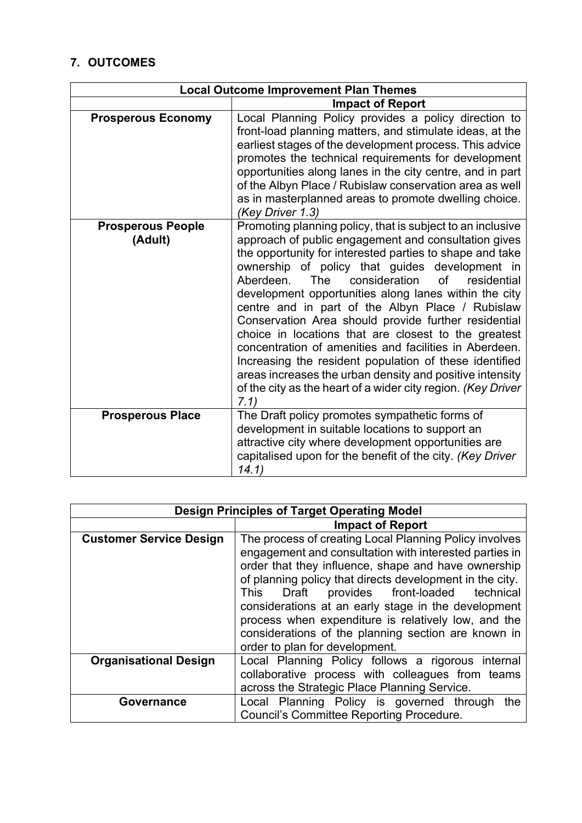# **7. OUTCOMES**

| <b>Local Outcome Improvement Plan Themes</b> |                                                                                                                                                                                                                                                                                                                                                                                                                                                                                                                                                                                                                                                                                                                                                                                    |
|----------------------------------------------|------------------------------------------------------------------------------------------------------------------------------------------------------------------------------------------------------------------------------------------------------------------------------------------------------------------------------------------------------------------------------------------------------------------------------------------------------------------------------------------------------------------------------------------------------------------------------------------------------------------------------------------------------------------------------------------------------------------------------------------------------------------------------------|
|                                              | <b>Impact of Report</b>                                                                                                                                                                                                                                                                                                                                                                                                                                                                                                                                                                                                                                                                                                                                                            |
| <b>Prosperous Economy</b>                    | Local Planning Policy provides a policy direction to<br>front-load planning matters, and stimulate ideas, at the<br>earliest stages of the development process. This advice<br>promotes the technical requirements for development<br>opportunities along lanes in the city centre, and in part<br>of the Albyn Place / Rubislaw conservation area as well<br>as in masterplanned areas to promote dwelling choice.<br>(Key Driver 1.3)                                                                                                                                                                                                                                                                                                                                            |
| <b>Prosperous People</b><br>(Adult)          | Promoting planning policy, that is subject to an inclusive<br>approach of public engagement and consultation gives<br>the opportunity for interested parties to shape and take<br>ownership of policy that guides<br>development in<br>of<br>Aberdeen.<br>The<br>consideration<br>residential<br>development opportunities along lanes within the city<br>centre and in part of the Albyn Place / Rubislaw<br>Conservation Area should provide further residential<br>choice in locations that are closest to the greatest<br>concentration of amenities and facilities in Aberdeen.<br>Increasing the resident population of these identified<br>areas increases the urban density and positive intensity<br>of the city as the heart of a wider city region. (Key Driver<br>7.1) |
| <b>Prosperous Place</b>                      | The Draft policy promotes sympathetic forms of<br>development in suitable locations to support an<br>attractive city where development opportunities are<br>capitalised upon for the benefit of the city. (Key Driver<br>14.1)                                                                                                                                                                                                                                                                                                                                                                                                                                                                                                                                                     |

| <b>Design Principles of Target Operating Model</b> |                                                                                                                                                                                                                                                                                                                                                                                                                                                                                                   |
|----------------------------------------------------|---------------------------------------------------------------------------------------------------------------------------------------------------------------------------------------------------------------------------------------------------------------------------------------------------------------------------------------------------------------------------------------------------------------------------------------------------------------------------------------------------|
|                                                    | <b>Impact of Report</b>                                                                                                                                                                                                                                                                                                                                                                                                                                                                           |
| <b>Customer Service Design</b>                     | The process of creating Local Planning Policy involves<br>engagement and consultation with interested parties in<br>order that they influence, shape and have ownership<br>of planning policy that directs development in the city.<br>provides front-loaded<br>technical<br>Draft<br>This<br>considerations at an early stage in the development<br>process when expenditure is relatively low, and the<br>considerations of the planning section are known in<br>order to plan for development. |
| <b>Organisational Design</b>                       | Local Planning Policy follows a rigorous internal                                                                                                                                                                                                                                                                                                                                                                                                                                                 |
|                                                    | collaborative process with colleagues from teams                                                                                                                                                                                                                                                                                                                                                                                                                                                  |
|                                                    | across the Strategic Place Planning Service.                                                                                                                                                                                                                                                                                                                                                                                                                                                      |
| Governance                                         | Local Planning Policy is governed through<br>the                                                                                                                                                                                                                                                                                                                                                                                                                                                  |
|                                                    | <b>Council's Committee Reporting Procedure.</b>                                                                                                                                                                                                                                                                                                                                                                                                                                                   |